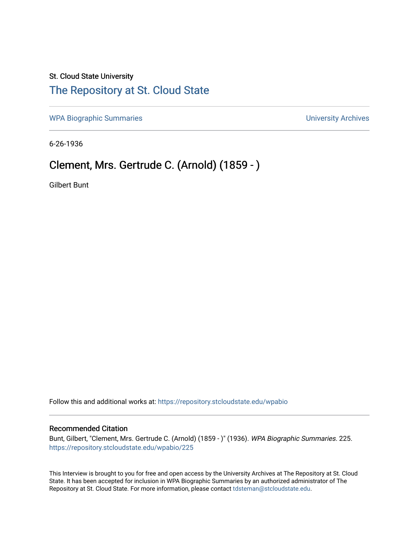## St. Cloud State University [The Repository at St. Cloud State](https://repository.stcloudstate.edu/)

[WPA Biographic Summaries](https://repository.stcloudstate.edu/wpabio) **WPA Biographic Summaries University Archives** 

6-26-1936

# Clement, Mrs. Gertrude C. (Arnold) (1859 - )

Gilbert Bunt

Follow this and additional works at: [https://repository.stcloudstate.edu/wpabio](https://repository.stcloudstate.edu/wpabio?utm_source=repository.stcloudstate.edu%2Fwpabio%2F225&utm_medium=PDF&utm_campaign=PDFCoverPages) 

#### Recommended Citation

Bunt, Gilbert, "Clement, Mrs. Gertrude C. (Arnold) (1859 - )" (1936). WPA Biographic Summaries. 225. [https://repository.stcloudstate.edu/wpabio/225](https://repository.stcloudstate.edu/wpabio/225?utm_source=repository.stcloudstate.edu%2Fwpabio%2F225&utm_medium=PDF&utm_campaign=PDFCoverPages) 

This Interview is brought to you for free and open access by the University Archives at The Repository at St. Cloud State. It has been accepted for inclusion in WPA Biographic Summaries by an authorized administrator of The Repository at St. Cloud State. For more information, please contact [tdsteman@stcloudstate.edu.](mailto:tdsteman@stcloudstate.edu)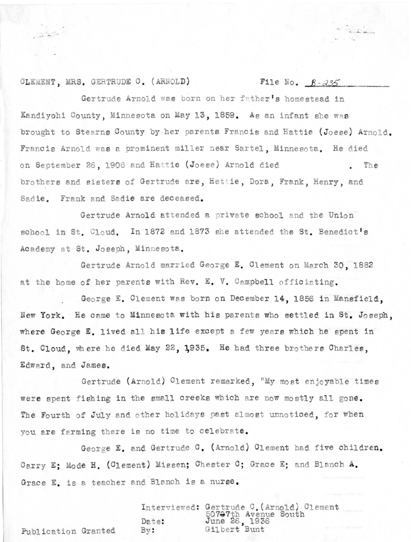#### CLEMENT, MRS. GERTRUDE C. (ARNOLD)

 $\overline{\omega}$  is the set of  $\overline{\omega}$ 

#### File No.  $\beta - 235$

**Contract** 

Gertrude Arnold was born on her father's homestead in Kandivohi County, Minnesota on May 13, 1859. As an infant she was brought to Stearns County by her parents Francis and Hattie (Joese) Arnold. Francis Arnold was a prominent miller near Sartel, Minnesota. He died on September 26, 1906 and Hattie (Joese) Arnold died The brothers and sisters of Gertrude are, Hettie, Dora, Frank, Henry, and Sadie. Frank and Sadie are deceased.

Gertrude Arnold attended a private school and the Union school in St. Cloud. In 1872 and 1873 she attended the St. Benedict's Academy at St. Joseph, Minnesota.

Gertrude Arnold married George E. Clement on March 30, 1882 at the home of her parents with Rev. E. V. Campbell officiating.

George E. Clement was born on December 14, 1856 in Mansfield. New York. He came to Minnesota with his parents who settled in St. Joseph. where George E. lived all his life except a few years which he spent in St. Cloud, where he died May 22, 1935. He had three brothers Charles, Edward, and James.

Gertrude (Arnold) Clement remarked, "My most enjoyable times were spent fishing in the small creeks which are now mostly all gone. The Fourth of July and other holidays past almost unnoticed, for when you are farming there is no time to celebrate.

George E. and Gertrude C. (Arnold) Clement had five children. Carry E: Mode H. (Clement) Missen; Chester C; Grace E: and Blanch A. Grace E. is a teacher and Blanch is a nurse.

Interviewed: Gertrude C. (Arnold) Clement<br>50797th Avenue South<br>Date: June 26, 1936<br>By: Gilbert Bunt

Publication Granted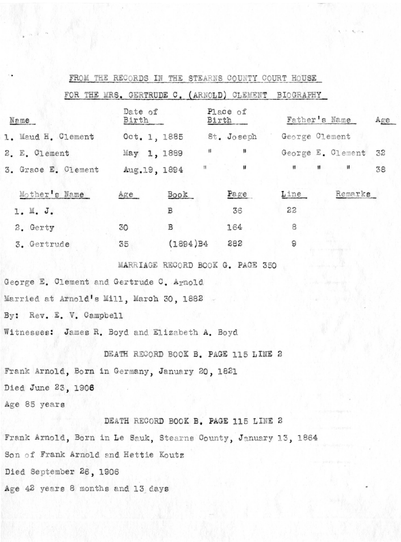|                                                                 |                  |                |                          |                                      | FROM THE RECORDS IN THE STEARNS COUNTY COURT HOUSE  |                                                     |     |
|-----------------------------------------------------------------|------------------|----------------|--------------------------|--------------------------------------|-----------------------------------------------------|-----------------------------------------------------|-----|
|                                                                 |                  |                |                          |                                      | FOR THE MRS. GERTRUDE C. (ARNOLD) CLEMENT BIOGRAPHY |                                                     |     |
| Name                                                            | Date of<br>Birth |                | Place of<br><u>Birth</u> |                                      | Father's Name                                       |                                                     | Age |
| 1. Maud H. Clement Oct. 1, 1885 St. Joseph George Clement       |                  |                |                          |                                      |                                                     |                                                     |     |
| 2. E. Clement                                                   | May 1, 1889 "    |                |                          | $\boldsymbol{\mu}$                   |                                                     | George E. Clement 32                                |     |
| 3. Grace E. Clement Aug. 19, 1894                               |                  |                | $\mathfrak{g}$ .         | $\sim$ 10 $\pm$                      |                                                     | $\mathbf{H} = \mathbf{H} + \mathbf{H} + \mathbf{H}$ | 38  |
| Mother's Name                                                   | Age              | Book           |                          | Page                                 | Line                                                | Remarks                                             |     |
| 1. M. J.                                                        |                  | B              |                          | 36                                   | 22                                                  |                                                     |     |
| 2. Gerty                                                        | 30               | B              |                          | 164                                  | 8                                                   |                                                     |     |
| 3. Gertrude                                                     | 35               | $(1894)B4$ 282 |                          |                                      | 9                                                   |                                                     |     |
|                                                                 |                  |                |                          | MARRIAGE RECORD BOOK G. PAGE 350     |                                                     |                                                     |     |
| George E. Clement and Gertrude C. Arnold                        |                  |                |                          |                                      |                                                     |                                                     |     |
| Married at Arnold's Mill, March 30, 1882 -                      |                  |                |                          |                                      |                                                     |                                                     |     |
| By: Rev. E. V. Campbell                                         |                  |                |                          |                                      |                                                     |                                                     |     |
| Witnesses: James R. Boyd and Elizabeth A. Boyd                  |                  |                |                          |                                      |                                                     |                                                     |     |
|                                                                 |                  |                |                          | DEATH RECORD BOOK B. PAGE 115 LINE 2 |                                                     |                                                     |     |
| Frank Arnold, Born in Germany, January 20, 1821                 |                  |                |                          |                                      |                                                     |                                                     |     |
| Died June 23, 1906                                              |                  |                |                          |                                      |                                                     |                                                     |     |
| Age 85 years                                                    |                  |                |                          |                                      |                                                     |                                                     |     |
|                                                                 |                  |                |                          | DEATH RECORD BOOK B. PAGE 115 LINE 2 |                                                     |                                                     |     |
| Frank Arnold, Born in Le Sauk, Stearns County, January 13, 1864 |                  |                |                          |                                      |                                                     |                                                     |     |
| Son of Frank Arnold and Hettie Koutz                            |                  |                |                          |                                      |                                                     |                                                     |     |
| Died September 26, 1906                                         |                  |                |                          |                                      |                                                     |                                                     |     |
| Age 42 years 8 months and 13 days                               |                  |                |                          |                                      |                                                     |                                                     |     |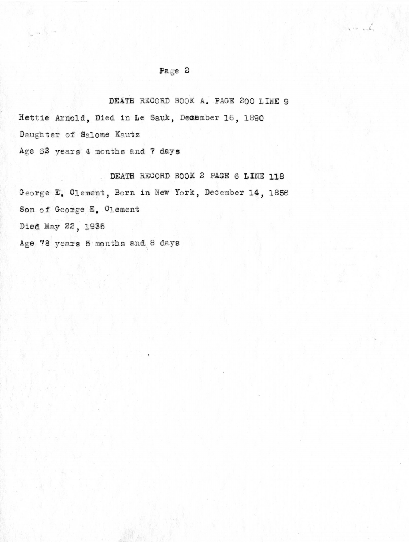## Page 2

 $\mathbb{R}$ 

DEATH RECORD BOOK A. PAGE 200 LINE 9 Hettie Arnold, Died in Le Sauk, December 16, 1890 Daughter of Salome Kautz Age 62 years 4 months and 7 days

DEATH RECORD BOOK 2 PAGE 6 LINE 118 George E. Clement, Born in New York, December 14, 1856 Son of George E. Clement Died May 22, 1935 Age 78 years 5 months and 8 days